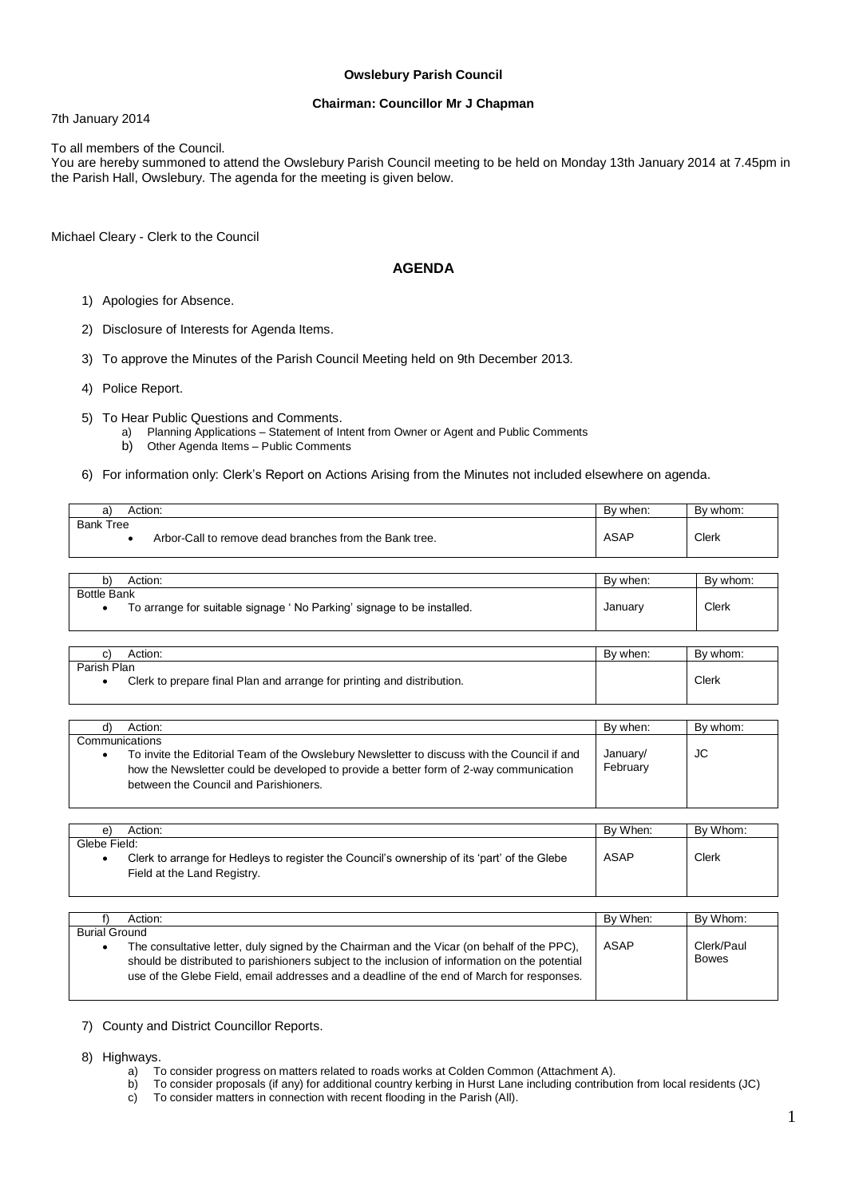#### **Owslebury Parish Council**

#### **Chairman: Councillor Mr J Chapman**

7th January 2014

To all members of the Council.

You are hereby summoned to attend the Owslebury Parish Council meeting to be held on Monday 13th January 2014 at 7.45pm in the Parish Hall, Owslebury. The agenda for the meeting is given below.

Michael Cleary - Clerk to the Council

#### **AGENDA**

- 1) Apologies for Absence.
- 2) Disclosure of Interests for Agenda Items.
- 3) To approve the Minutes of the Parish Council Meeting held on 9th December 2013.
- 4) Police Report.
- 5) To Hear Public Questions and Comments.
	- a) Planning Applications Statement of Intent from Owner or Agent and Public Comments
	- b) Other Agenda Items Public Comments
- 6) For information only: Clerk's Report on Actions Arising from the Minutes not included elsewhere on agenda.

| Action:<br>a                                                               |          | By whom: |
|----------------------------------------------------------------------------|----------|----------|
| <b>Bank Tree</b><br>Arbor-Call to remove dead branches from the Bank tree. | ASAP     | Clerk    |
|                                                                            |          |          |
| Action:<br>b)                                                              | Bv when: | By whom: |

| Action:<br>ື                                                          | By when: | By whom: |
|-----------------------------------------------------------------------|----------|----------|
| <b>Bottle Bank</b>                                                    |          |          |
| To arrange for suitable signage 'No Parking' signage to be installed. | January  | Clerk    |
|                                                                       |          |          |

| Action:                                                                               | By when: | By whom: |
|---------------------------------------------------------------------------------------|----------|----------|
| Parish Plan<br>Clerk to prepare final Plan and arrange for printing and distribution. |          | Clerk    |

| Action:                                                                                                                                                                                                                       | By when:             | By whom: |
|-------------------------------------------------------------------------------------------------------------------------------------------------------------------------------------------------------------------------------|----------------------|----------|
| Communications                                                                                                                                                                                                                |                      |          |
| To invite the Editorial Team of the Owslebury Newsletter to discuss with the Council if and<br>how the Newsletter could be developed to provide a better form of 2-way communication<br>between the Council and Parishioners. | January/<br>February | JC       |
|                                                                                                                                                                                                                               |                      |          |

| e)           | Action:                                                                                     | By When: | By Whom: |
|--------------|---------------------------------------------------------------------------------------------|----------|----------|
| Glebe Field: |                                                                                             |          |          |
| ٠            | Clerk to arrange for Hedleys to register the Council's ownership of its 'part' of the Glebe | ASAP     | Clerk    |
|              | Field at the Land Registry.                                                                 |          |          |
|              |                                                                                             |          |          |
|              |                                                                                             |          |          |
|              | Action:                                                                                     | By When: | By Whom: |

|               | AUUUI.                                                                                         | PV V I EII. | <b>DV VVIIUIII.</b> |
|---------------|------------------------------------------------------------------------------------------------|-------------|---------------------|
| Burial Ground |                                                                                                |             |                     |
|               | The consultative letter, duly signed by the Chairman and the Vicar (on behalf of the PPC),     | ASAP        | Clerk/Paul          |
|               | should be distributed to parishioners subject to the inclusion of information on the potential |             | <b>Bowes</b>        |
|               | use of the Glebe Field, email addresses and a deadline of the end of March for responses.      |             |                     |
|               |                                                                                                |             |                     |

- 7) County and District Councillor Reports.
- 8) Highways.
	- a) To consider progress on matters related to roads works at Colden Common (Attachment A).
	- b) To consider proposals (if any) for additional country kerbing in Hurst Lane including contribution from local residents (JC)
		- To consider matters in connection with recent flooding in the Parish (All).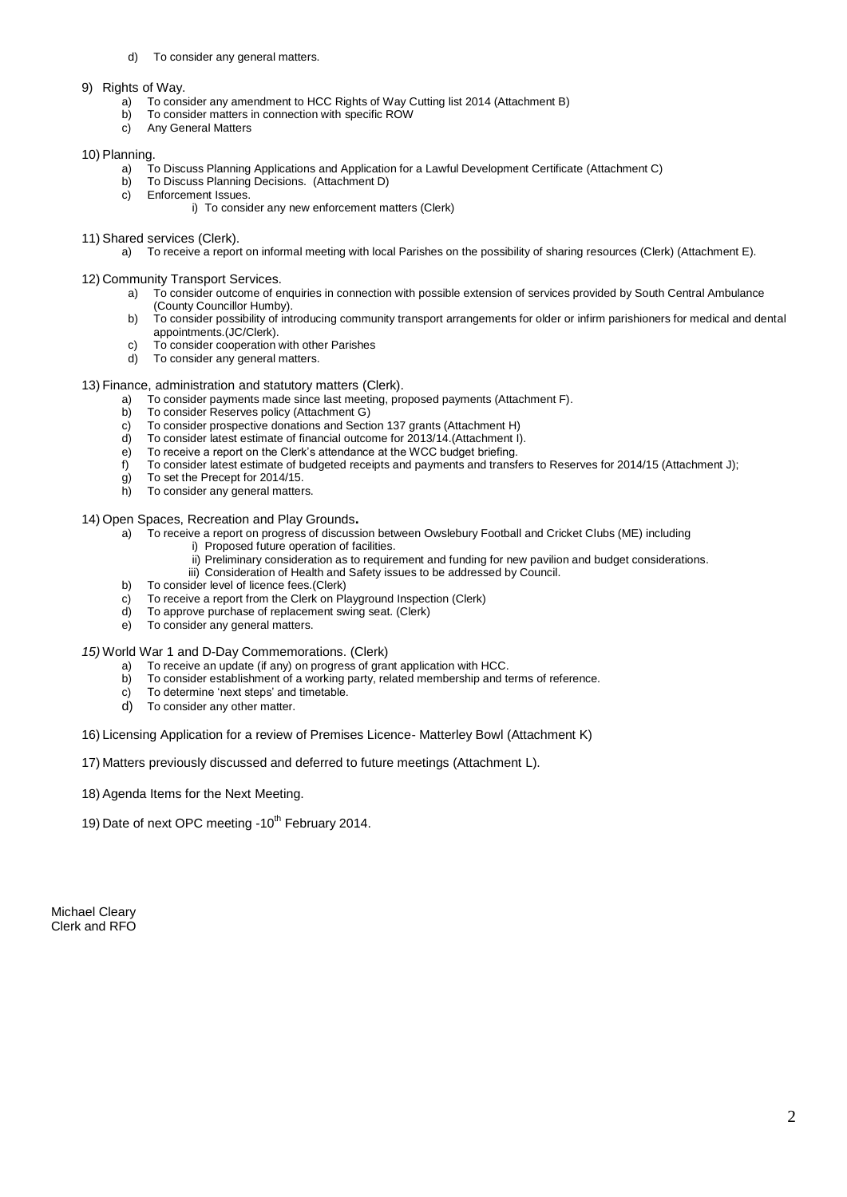- d) To consider any general matters.
- 9) Rights of Way.
	- a) To consider any amendment to HCC Rights of Way Cutting list 2014 (Attachment B)
	- To consider matters in connection with specific ROW
	- c) Any General Matters

#### 10) Planning.

- a) To Discuss Planning Applications and Application for a Lawful Development Certificate (Attachment C)
- b) To Discuss Planning Decisions. (Attachment D) c) Enforcement Issues.
	- i) To consider any new enforcement matters (Clerk)
- 11) Shared services (Clerk).
	- a) To receive a report on informal meeting with local Parishes on the possibility of sharing resources (Clerk) (Attachment E).
- 12) Community Transport Services.
	- a) To consider outcome of enquiries in connection with possible extension of services provided by South Central Ambulance (County Councillor Humby).
	- b) To consider possibility of introducing community transport arrangements for older or infirm parishioners for medical and dental appointments.(JC/Clerk).
	- c) To consider cooperation with other Parishes
	- d) To consider any general matters.
- 13) Finance, administration and statutory matters (Clerk).
	- a) To consider payments made since last meeting, proposed payments (Attachment F).
	- b) To consider Reserves policy (Attachment G)
	- c) To consider prospective donations and Section 137 grants (Attachment H)
	- d) To consider latest estimate of financial outcome for 2013/14.(Attachment I).
	- e) To receive a report on the Clerk's attendance at the WCC budget briefing.
	- f) To consider latest estimate of budgeted receipts and payments and transfers to Reserves for 2014/15 (Attachment J);
	- g) To set the Precept for 2014/15.<br>h) To consider any general matter
	- To consider any general matters.

14) Open Spaces, Recreation and Play Grounds**.**

- a) To receive a report on progress of discussion between Owslebury Football and Cricket Clubs (ME) including
	- i) Proposed future operation of facilities.
	- ii) Preliminary consideration as to requirement and funding for new pavilion and budget considerations.
	- iii) Consideration of Health and Safety issues to be addressed by Council.
- b) To consider level of licence fees.(Clerk)
- $\overrightarrow{c}$  To receive a report from the Clerk on Playground Inspection (Clerk)
- d) To approve purchase of replacement swing seat. (Clerk)
- e) To consider any general matters.

*15)* World War 1 and D-Day Commemorations. (Clerk)

- a) To receive an update (if any) on progress of grant application with HCC.
- b) To consider establishment of a working party, related membership and terms of reference.
- c) To determine 'next steps' and timetable.
- d) To consider any other matter.

16) Licensing Application for a review of Premises Licence- Matterley Bowl (Attachment K)

17) Matters previously discussed and deferred to future meetings (Attachment L).

- 18) Agenda Items for the Next Meeting.
- 19) Date of next OPC meeting  $-10^{th}$  February 2014.

Michael Cleary Clerk and RFO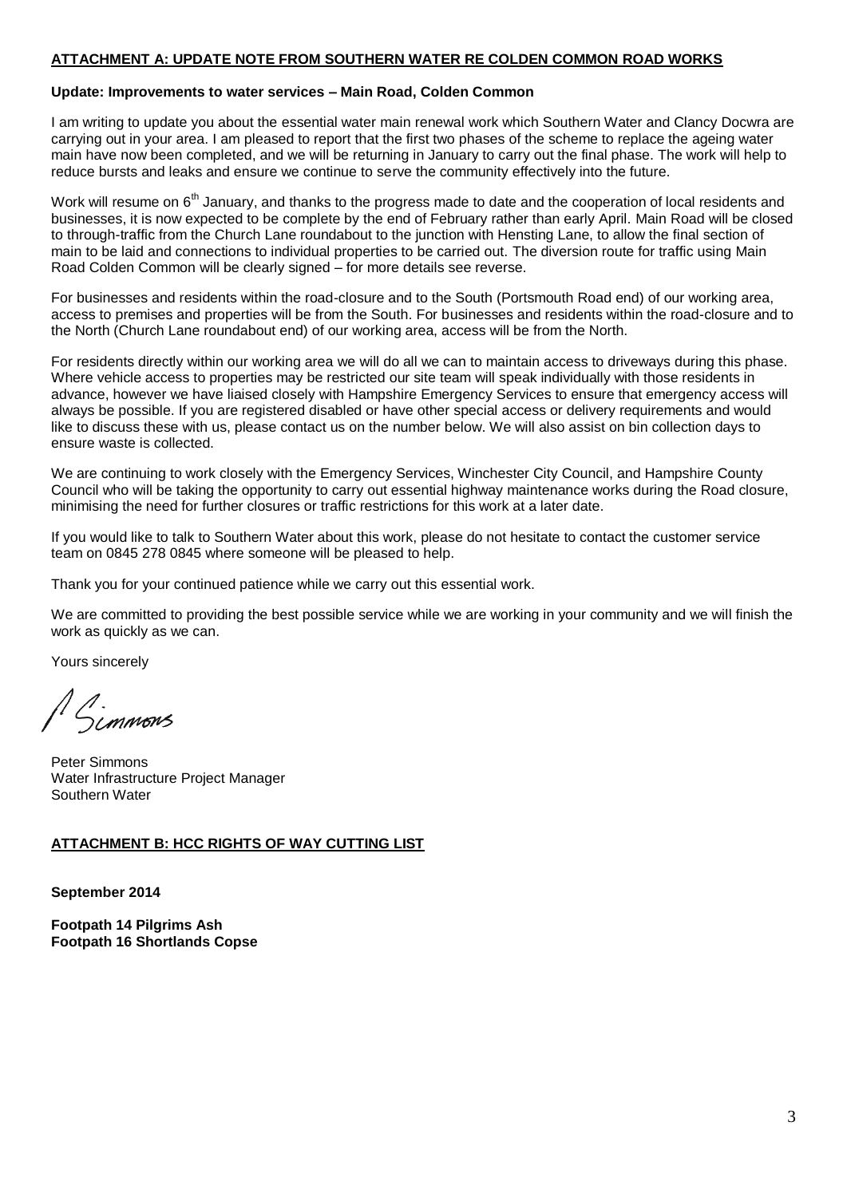#### **ATTACHMENT A: UPDATE NOTE FROM SOUTHERN WATER RE COLDEN COMMON ROAD WORKS**

#### **Update: Improvements to water services – Main Road, Colden Common**

I am writing to update you about the essential water main renewal work which Southern Water and Clancy Docwra are carrying out in your area. I am pleased to report that the first two phases of the scheme to replace the ageing water main have now been completed, and we will be returning in January to carry out the final phase. The work will help to reduce bursts and leaks and ensure we continue to serve the community effectively into the future.

Work will resume on 6<sup>th</sup> January, and thanks to the progress made to date and the cooperation of local residents and businesses, it is now expected to be complete by the end of February rather than early April. Main Road will be closed to through-traffic from the Church Lane roundabout to the junction with Hensting Lane, to allow the final section of main to be laid and connections to individual properties to be carried out. The diversion route for traffic using Main Road Colden Common will be clearly signed – for more details see reverse.

For businesses and residents within the road-closure and to the South (Portsmouth Road end) of our working area, access to premises and properties will be from the South. For businesses and residents within the road-closure and to the North (Church Lane roundabout end) of our working area, access will be from the North.

For residents directly within our working area we will do all we can to maintain access to driveways during this phase. Where vehicle access to properties may be restricted our site team will speak individually with those residents in advance, however we have liaised closely with Hampshire Emergency Services to ensure that emergency access will always be possible. If you are registered disabled or have other special access or delivery requirements and would like to discuss these with us, please contact us on the number below. We will also assist on bin collection days to ensure waste is collected.

We are continuing to work closely with the Emergency Services, Winchester City Council, and Hampshire County Council who will be taking the opportunity to carry out essential highway maintenance works during the Road closure, minimising the need for further closures or traffic restrictions for this work at a later date.

If you would like to talk to Southern Water about this work, please do not hesitate to contact the customer service team on 0845 278 0845 where someone will be pleased to help.

Thank you for your continued patience while we carry out this essential work.

We are committed to providing the best possible service while we are working in your community and we will finish the work as quickly as we can.

Yours sincerely

A.<br>Simmons

Peter Simmons Water Infrastructure Project Manager Southern Water

#### **ATTACHMENT B: HCC RIGHTS OF WAY CUTTING LIST**

**September 2014**

**Footpath 14 Pilgrims Ash Footpath 16 Shortlands Copse**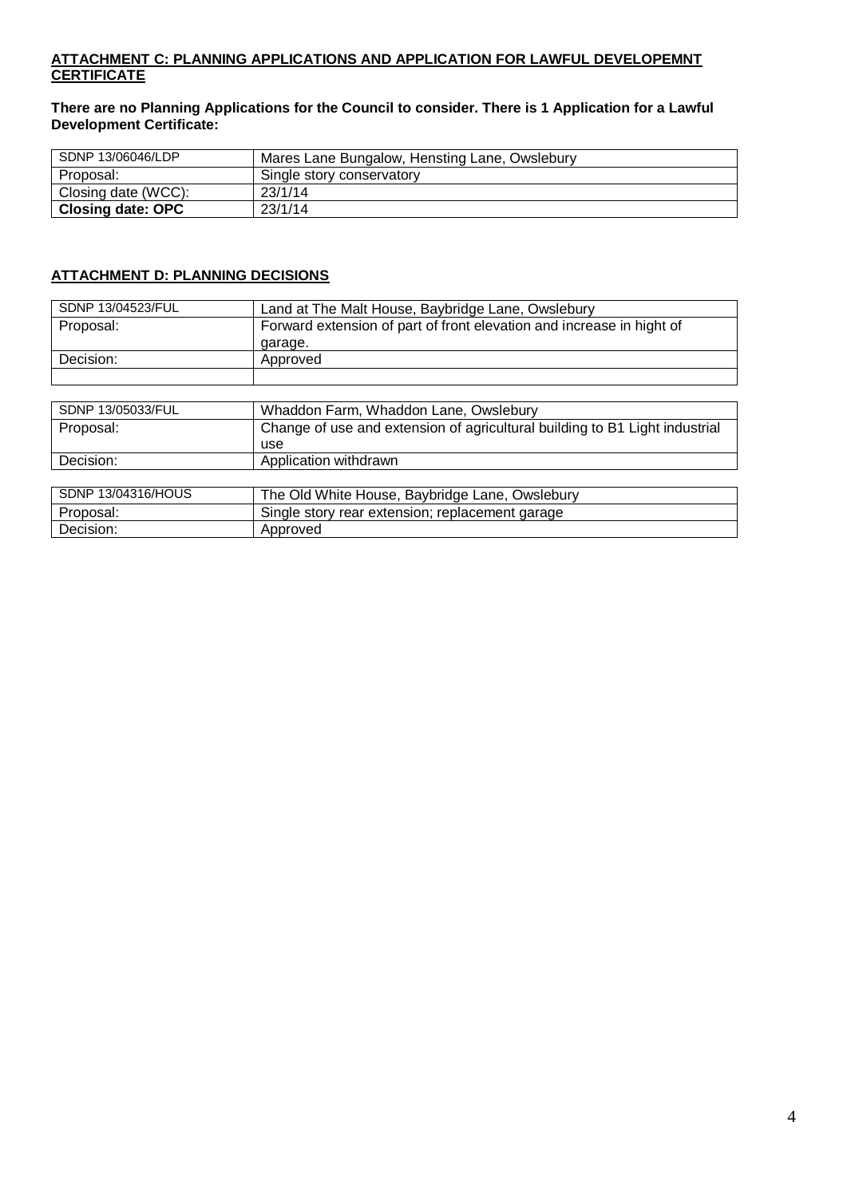## **ATTACHMENT C: PLANNING APPLICATIONS AND APPLICATION FOR LAWFUL DEVELOPEMNT CERTIFICATE**

**There are no Planning Applications for the Council to consider. There is 1 Application for a Lawful Development Certificate:**

| SDNP 13/06046/LDP        | Mares Lane Bungalow, Hensting Lane, Owslebury |
|--------------------------|-----------------------------------------------|
| Proposal:                | Single story conservatory                     |
| Closing date (WCC):      | 23/1/14                                       |
| <b>Closing date: OPC</b> | 23/1/14                                       |

## **ATTACHMENT D: PLANNING DECISIONS**

Decision: Approved

| SDNP 13/04523/FUL  | Land at The Malt House, Baybridge Lane, Owslebury                           |
|--------------------|-----------------------------------------------------------------------------|
| Proposal:          | Forward extension of part of front elevation and increase in hight of       |
|                    | garage.                                                                     |
| Decision:          | Approved                                                                    |
|                    |                                                                             |
|                    |                                                                             |
| SDNP 13/05033/FUL  | Whaddon Farm, Whaddon Lane, Owslebury                                       |
| Proposal:          | Change of use and extension of agricultural building to B1 Light industrial |
|                    | use                                                                         |
| Decision:          | Application withdrawn                                                       |
|                    |                                                                             |
| SDNP 13/04316/HOUS | The Old White House, Baybridge Lane, Owslebury                              |
| Proposal:          | Single story rear extension; replacement garage                             |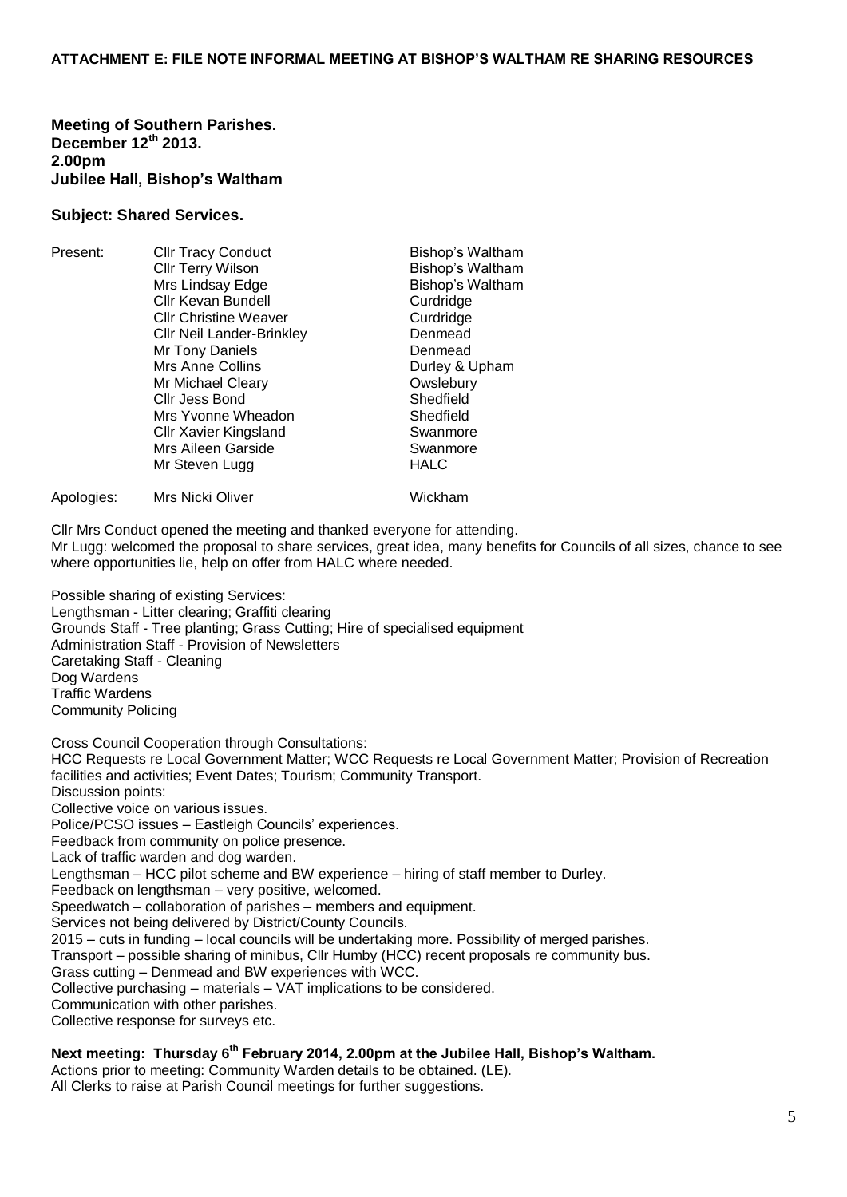**Meeting of Southern Parishes. December 12th 2013. 2.00pm Jubilee Hall, Bishop's Waltham**

#### **Subject: Shared Services.**

| Present:   | <b>Cllr Tracy Conduct</b>        | Bishop's Waltham |
|------------|----------------------------------|------------------|
|            | <b>Cllr Terry Wilson</b>         | Bishop's Waltham |
|            | Mrs Lindsay Edge                 | Bishop's Waltham |
|            | Cllr Kevan Bundell               | Curdridge        |
|            | <b>CIIr Christine Weaver</b>     | Curdridge        |
|            | <b>Cllr Neil Lander-Brinkley</b> | Denmead          |
|            | Mr Tony Daniels                  | Denmead          |
|            | Mrs Anne Collins                 | Durley & Upham   |
|            | Mr Michael Cleary                | Owslebury        |
|            | Cllr Jess Bond                   | Shedfield        |
|            | Mrs Yvonne Wheadon               | Shedfield        |
|            | <b>Cllr Xavier Kingsland</b>     | Swanmore         |
|            | Mrs Aileen Garside               | Swanmore         |
|            | Mr Steven Lugg                   | <b>HALC</b>      |
| Apologies: | Mrs Nicki Oliver                 | Wickham          |

Cllr Mrs Conduct opened the meeting and thanked everyone for attending.

Mr Lugg: welcomed the proposal to share services, great idea, many benefits for Councils of all sizes, chance to see where opportunities lie, help on offer from HALC where needed.

Possible sharing of existing Services: Lengthsman - Litter clearing; Graffiti clearing Grounds Staff - Tree planting; Grass Cutting; Hire of specialised equipment Administration Staff - Provision of Newsletters Caretaking Staff - Cleaning Dog Wardens Traffic Wardens Community Policing

Cross Council Cooperation through Consultations: HCC Requests re Local Government Matter; WCC Requests re Local Government Matter; Provision of Recreation facilities and activities; Event Dates; Tourism; Community Transport. Discussion points: Collective voice on various issues. Police/PCSO issues – Eastleigh Councils' experiences. Feedback from community on police presence. Lack of traffic warden and dog warden. Lengthsman – HCC pilot scheme and BW experience – hiring of staff member to Durley. Feedback on lengthsman – very positive, welcomed. Speedwatch – collaboration of parishes – members and equipment. Services not being delivered by District/County Councils. 2015 – cuts in funding – local councils will be undertaking more. Possibility of merged parishes. Transport – possible sharing of minibus, Cllr Humby (HCC) recent proposals re community bus. Grass cutting – Denmead and BW experiences with WCC. Collective purchasing – materials – VAT implications to be considered. Communication with other parishes. Collective response for surveys etc.

**Next meeting: Thursday 6th February 2014, 2.00pm at the Jubilee Hall, Bishop's Waltham.**

Actions prior to meeting: Community Warden details to be obtained. (LE).

All Clerks to raise at Parish Council meetings for further suggestions.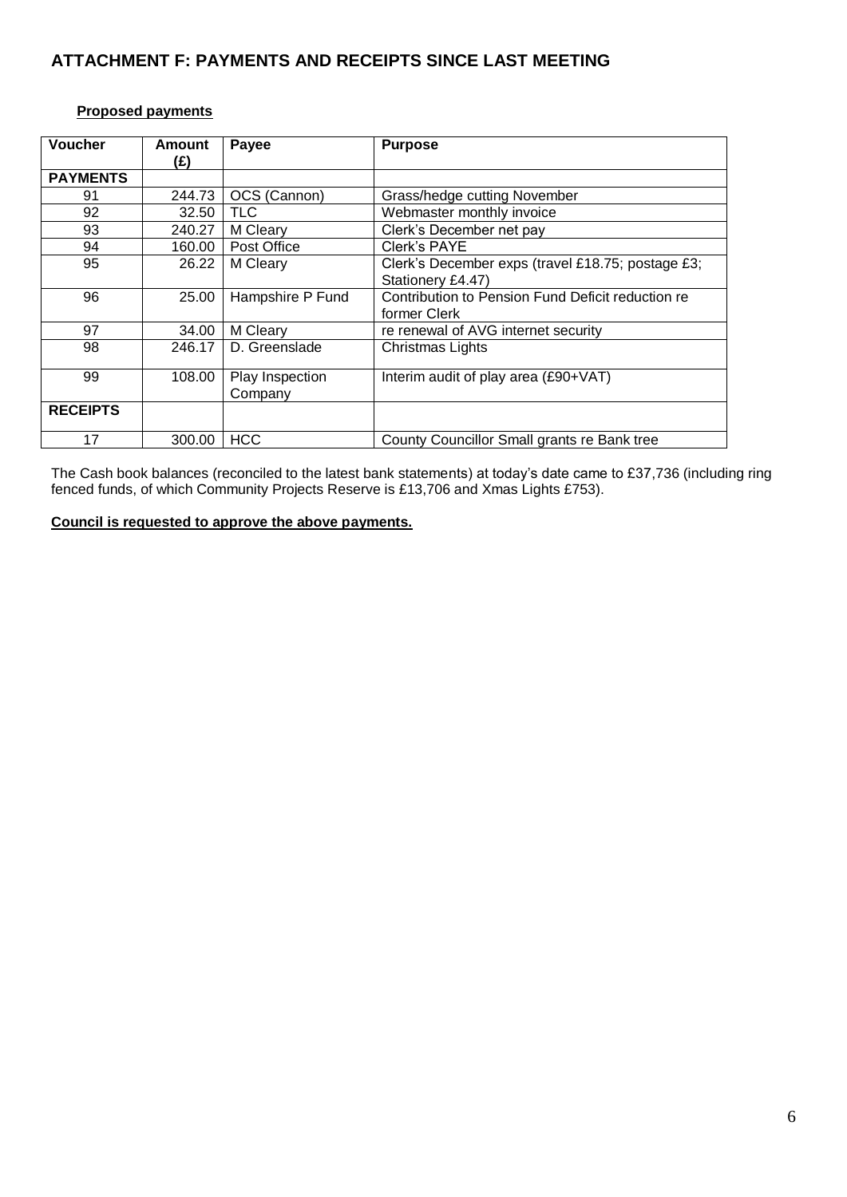# **ATTACHMENT F: PAYMENTS AND RECEIPTS SINCE LAST MEETING**

## **Proposed payments**

| <b>Voucher</b>  | <b>Amount</b><br>(£) | Payee            | <b>Purpose</b>                                    |
|-----------------|----------------------|------------------|---------------------------------------------------|
| <b>PAYMENTS</b> |                      |                  |                                                   |
| 91              | 244.73               | OCS (Cannon)     | Grass/hedge cutting November                      |
| 92              | 32.50                | <b>TLC</b>       | Webmaster monthly invoice                         |
| 93              | 240.27               | M Cleary         | Clerk's December net pay                          |
| 94              | 160.00               | Post Office      | Clerk's PAYE                                      |
| 95              | 26.22                | M Cleary         | Clerk's December exps (travel £18.75; postage £3; |
|                 |                      |                  | Stationery £4.47)                                 |
| 96              | 25.00                | Hampshire P Fund | Contribution to Pension Fund Deficit reduction re |
|                 |                      |                  | former Clerk                                      |
| 97              | 34.00                | M Cleary         | re renewal of AVG internet security               |
| 98              | 246.17               | D. Greenslade    | Christmas Lights                                  |
| 99              | 108.00               | Play Inspection  | Interim audit of play area (£90+VAT)              |
|                 |                      | Company          |                                                   |
| <b>RECEIPTS</b> |                      |                  |                                                   |
| 17              | 300.00               | <b>HCC</b>       | County Councillor Small grants re Bank tree       |

The Cash book balances (reconciled to the latest bank statements) at today's date came to £37,736 (including ring fenced funds, of which Community Projects Reserve is £13,706 and Xmas Lights £753).

# **Council is requested to approve the above payments.**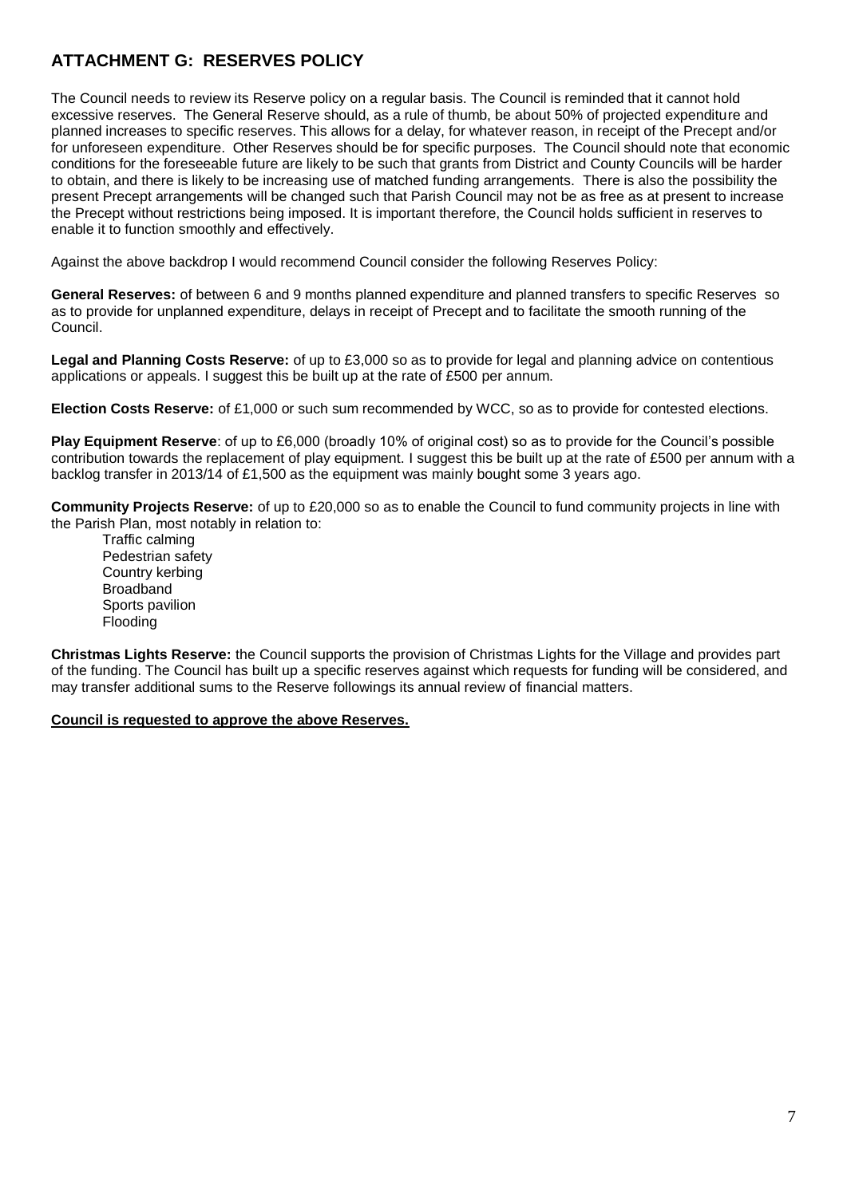# **ATTACHMENT G: RESERVES POLICY**

The Council needs to review its Reserve policy on a regular basis. The Council is reminded that it cannot hold excessive reserves. The General Reserve should, as a rule of thumb, be about 50% of projected expenditure and planned increases to specific reserves. This allows for a delay, for whatever reason, in receipt of the Precept and/or for unforeseen expenditure. Other Reserves should be for specific purposes. The Council should note that economic conditions for the foreseeable future are likely to be such that grants from District and County Councils will be harder to obtain, and there is likely to be increasing use of matched funding arrangements. There is also the possibility the present Precept arrangements will be changed such that Parish Council may not be as free as at present to increase the Precept without restrictions being imposed. It is important therefore, the Council holds sufficient in reserves to enable it to function smoothly and effectively.

Against the above backdrop I would recommend Council consider the following Reserves Policy:

**General Reserves:** of between 6 and 9 months planned expenditure and planned transfers to specific Reserves so as to provide for unplanned expenditure, delays in receipt of Precept and to facilitate the smooth running of the Council.

**Legal and Planning Costs Reserve:** of up to £3,000 so as to provide for legal and planning advice on contentious applications or appeals. I suggest this be built up at the rate of £500 per annum.

**Election Costs Reserve:** of £1,000 or such sum recommended by WCC, so as to provide for contested elections.

**Play Equipment Reserve**: of up to £6,000 (broadly 10% of original cost) so as to provide for the Council's possible contribution towards the replacement of play equipment. I suggest this be built up at the rate of £500 per annum with a backlog transfer in 2013/14 of £1,500 as the equipment was mainly bought some 3 years ago.

**Community Projects Reserve:** of up to £20,000 so as to enable the Council to fund community projects in line with the Parish Plan, most notably in relation to:

Traffic calming Pedestrian safety Country kerbing Broadband Sports pavilion Flooding

**Christmas Lights Reserve:** the Council supports the provision of Christmas Lights for the Village and provides part of the funding. The Council has built up a specific reserves against which requests for funding will be considered, and may transfer additional sums to the Reserve followings its annual review of financial matters.

#### **Council is requested to approve the above Reserves.**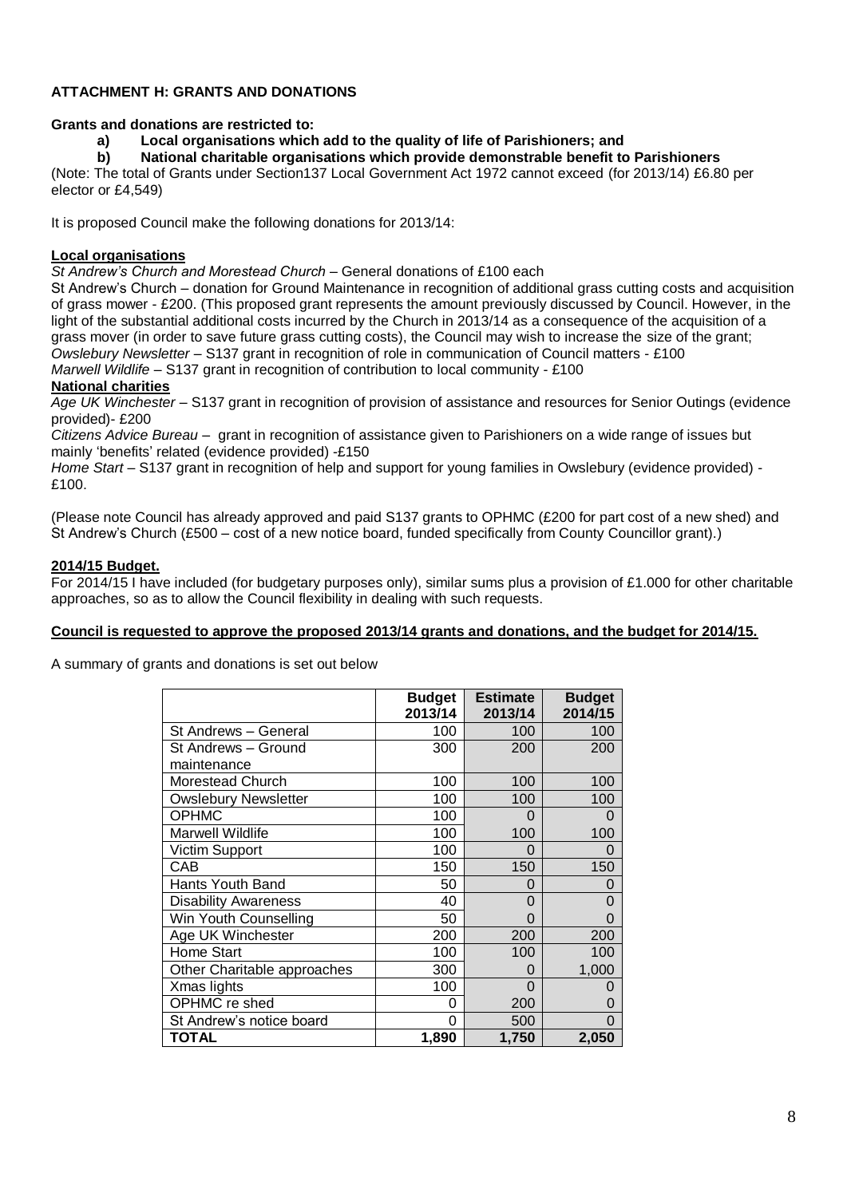## **ATTACHMENT H: GRANTS AND DONATIONS**

#### **Grants and donations are restricted to:**

**a) Local organisations which add to the quality of life of Parishioners; and**

**b) National charitable organisations which provide demonstrable benefit to Parishioners**

(Note: The total of Grants under Section137 Local Government Act 1972 cannot exceed (for 2013/14) £6.80 per elector or £4,549)

It is proposed Council make the following donations for 2013/14:

#### **Local organisations**

*St Andrew's Church and Morestead Church* – General donations of £100 each

St Andrew's Church – donation for Ground Maintenance in recognition of additional grass cutting costs and acquisition of grass mower - £200. (This proposed grant represents the amount previously discussed by Council. However, in the light of the substantial additional costs incurred by the Church in 2013/14 as a consequence of the acquisition of a grass mover (in order to save future grass cutting costs), the Council may wish to increase the size of the grant; *Owslebury Newsletter* – S137 grant in recognition of role in communication of Council matters - £100 *Marwell Wildlife* – S137 grant in recognition of contribution to local community - £100

#### **National charities**

*Age UK Winchester* – S137 grant in recognition of provision of assistance and resources for Senior Outings (evidence provided)- £200

*Citizens Advice Bureau* – grant in recognition of assistance given to Parishioners on a wide range of issues but mainly 'benefits' related (evidence provided) -£150

*Home Start* – S137 grant in recognition of help and support for young families in Owslebury (evidence provided) - £100.

(Please note Council has already approved and paid S137 grants to OPHMC (£200 for part cost of a new shed) and St Andrew's Church (£500 – cost of a new notice board, funded specifically from County Councillor grant).)

#### **2014/15 Budget.**

For 2014/15 I have included (for budgetary purposes only), similar sums plus a provision of £1.000 for other charitable approaches, so as to allow the Council flexibility in dealing with such requests.

#### **Council is requested to approve the proposed 2013/14 grants and donations, and the budget for 2014/15.**

A summary of grants and donations is set out below

|                             | <b>Budget</b><br>2013/14 | <b>Estimate</b><br>2013/14 | <b>Budget</b><br>2014/15 |
|-----------------------------|--------------------------|----------------------------|--------------------------|
| St Andrews - General        | 100                      | 100                        | 100                      |
| St Andrews - Ground         | 300                      | 200                        | 200                      |
| maintenance                 |                          |                            |                          |
| Morestead Church            | 100                      | 100                        | 100                      |
| <b>Owslebury Newsletter</b> | 100                      | 100                        | 100                      |
| <b>OPHMC</b>                | 100                      | 0                          | 0                        |
| Marwell Wildlife            | 100                      | 100                        | 100                      |
| Victim Support              | 100                      | O                          | 0                        |
| CAB                         | 150                      | 150                        | 150                      |
| Hants Youth Band            | 50                       | O                          | 0                        |
| <b>Disability Awareness</b> | 40                       | 0                          | $\Omega$                 |
| Win Youth Counselling       | 50                       | 0                          | 0                        |
| Age UK Winchester           | 200                      | 200                        | 200                      |
| <b>Home Start</b>           | 100                      | 100                        | 100                      |
| Other Charitable approaches | 300                      | O                          | 1,000                    |
| Xmas lights                 | 100                      | 0                          | 0                        |
| OPHMC re shed               | 0                        | 200                        | 0                        |
| St Andrew's notice board    | $\Omega$                 | 500                        | 0                        |
| TOTAL                       | 1,890                    | 1,750                      | 2,050                    |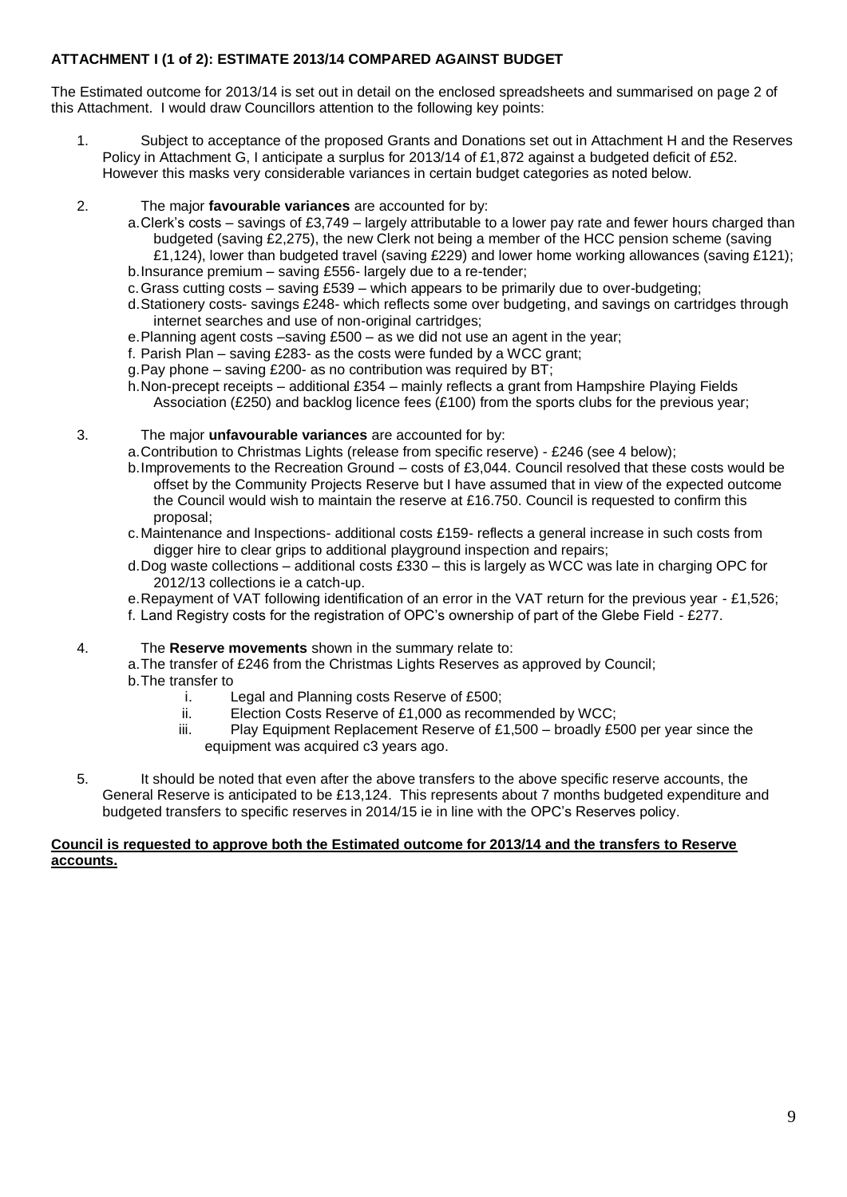# **ATTACHMENT I (1 of 2): ESTIMATE 2013/14 COMPARED AGAINST BUDGET**

The Estimated outcome for 2013/14 is set out in detail on the enclosed spreadsheets and summarised on page 2 of this Attachment. I would draw Councillors attention to the following key points:

- 1. Subject to acceptance of the proposed Grants and Donations set out in Attachment H and the Reserves Policy in Attachment G, I anticipate a surplus for 2013/14 of £1,872 against a budgeted deficit of £52. However this masks very considerable variances in certain budget categories as noted below.
- 2. The major **favourable variances** are accounted for by:
	- a.Clerk's costs savings of £3,749 largely attributable to a lower pay rate and fewer hours charged than budgeted (saving £2,275), the new Clerk not being a member of the HCC pension scheme (saving £1,124), lower than budgeted travel (saving £229) and lower home working allowances (saving £121);
	- b.Insurance premium saving £556- largely due to a re-tender;
	- c.Grass cutting costs saving £539 which appears to be primarily due to over-budgeting;
	- d.Stationery costs- savings £248- which reflects some over budgeting, and savings on cartridges through internet searches and use of non-original cartridges;
	- e.Planning agent costs –saving £500 as we did not use an agent in the year;
	- f. Parish Plan saving £283- as the costs were funded by a WCC grant;
	- g.Pay phone saving £200- as no contribution was required by BT;
	- h.Non-precept receipts additional £354 mainly reflects a grant from Hampshire Playing Fields Association (£250) and backlog licence fees (£100) from the sports clubs for the previous year;
- 3. The major **unfavourable variances** are accounted for by:
	- a.Contribution to Christmas Lights (release from specific reserve) £246 (see 4 below);
	- b.Improvements to the Recreation Ground costs of £3,044. Council resolved that these costs would be offset by the Community Projects Reserve but I have assumed that in view of the expected outcome the Council would wish to maintain the reserve at £16.750. Council is requested to confirm this proposal;
	- c.Maintenance and Inspections- additional costs £159- reflects a general increase in such costs from digger hire to clear grips to additional playground inspection and repairs;
	- d.Dog waste collections additional costs £330 this is largely as WCC was late in charging OPC for 2012/13 collections ie a catch-up.
	- e.Repayment of VAT following identification of an error in the VAT return for the previous year £1,526; f. Land Registry costs for the registration of OPC's ownership of part of the Glebe Field - £277.

## 4. The **Reserve movements** shown in the summary relate to:

a.The transfer of £246 from the Christmas Lights Reserves as approved by Council; b.The transfer to

- - i. Legal and Planning costs Reserve of £500;
	- ii. Election Costs Reserve of £1,000 as recommended by WCC;
	- iii. Play Equipment Replacement Reserve of £1,500 broadly £500 per year since the equipment was acquired c3 years ago.
- 5. It should be noted that even after the above transfers to the above specific reserve accounts, the General Reserve is anticipated to be £13,124. This represents about 7 months budgeted expenditure and budgeted transfers to specific reserves in 2014/15 ie in line with the OPC's Reserves policy.

#### **Council is requested to approve both the Estimated outcome for 2013/14 and the transfers to Reserve accounts.**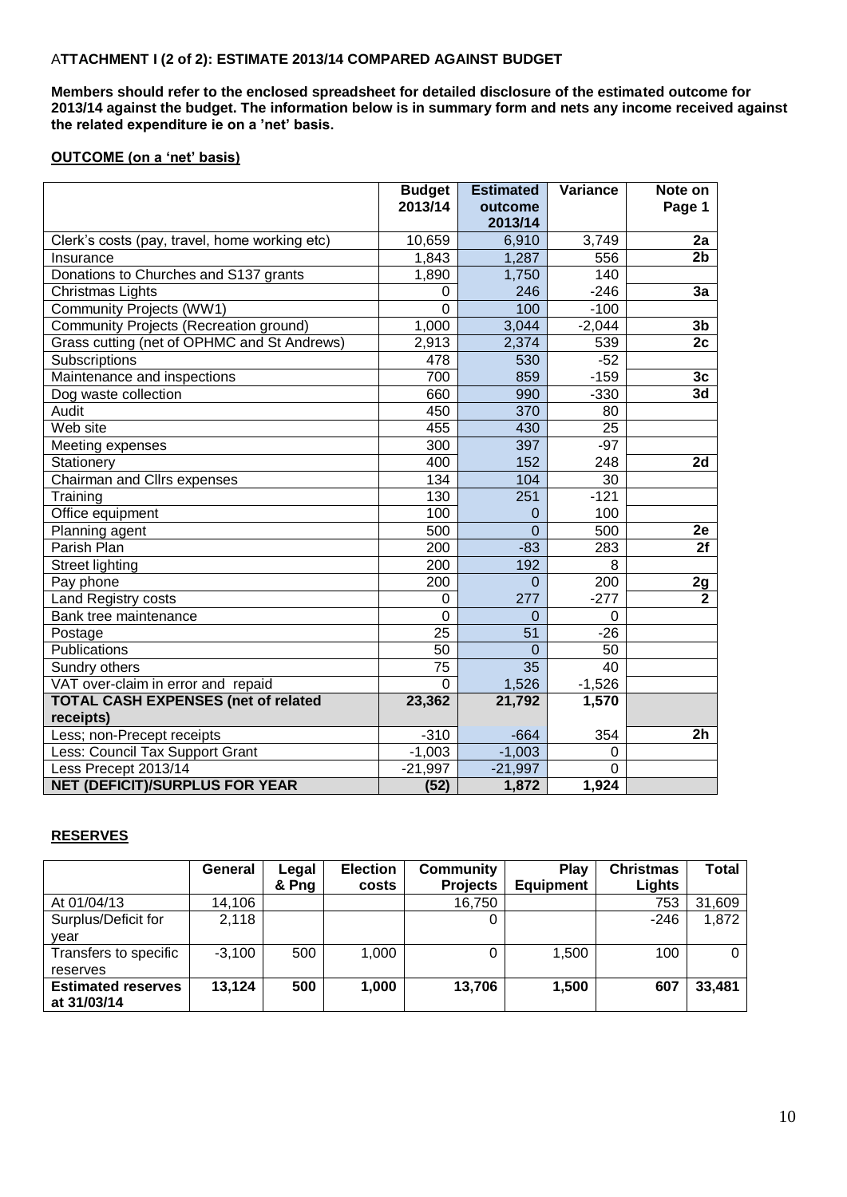## A**TTACHMENT I (2 of 2): ESTIMATE 2013/14 COMPARED AGAINST BUDGET**

**Members should refer to the enclosed spreadsheet for detailed disclosure of the estimated outcome for 2013/14 against the budget. The information below is in summary form and nets any income received against the related expenditure ie on a 'net' basis.**

#### **OUTCOME (on a 'net' basis)**

|                                               | <b>Budget</b><br>2013/14 | <b>Estimated</b><br>outcome | Variance | Note on<br>Page 1 |
|-----------------------------------------------|--------------------------|-----------------------------|----------|-------------------|
|                                               |                          | 2013/14                     |          |                   |
| Clerk's costs (pay, travel, home working etc) | 10,659                   | 6,910                       | 3,749    | 2a                |
| Insurance                                     | 1,843                    | 1,287                       | 556      | 2 <sub>b</sub>    |
| Donations to Churches and S137 grants         | 1,890                    | 1,750                       | 140      |                   |
| Christmas Lights                              | $\Omega$                 | 246                         | $-246$   | 3a                |
| Community Projects (WW1)                      | $\Omega$                 | 100                         | $-100$   |                   |
| Community Projects (Recreation ground)        | 1,000                    | 3,044                       | $-2,044$ | 3 <sub>b</sub>    |
| Grass cutting (net of OPHMC and St Andrews)   | 2,913                    | 2,374                       | 539      | 2c                |
| Subscriptions                                 | 478                      | 530                         | $-52$    |                   |
| Maintenance and inspections                   | 700                      | 859                         | $-159$   | 3 <sub>c</sub>    |
| Dog waste collection                          | 660                      | 990                         | $-330$   | 3d                |
| Audit                                         | 450                      | 370                         | 80       |                   |
| Web site                                      | 455                      | 430                         | 25       |                   |
| Meeting expenses                              | 300                      | 397                         | $-97$    |                   |
| Stationery                                    | 400                      | 152                         | 248      | 2d                |
| Chairman and Cllrs expenses                   | 134                      | 104                         | 30       |                   |
| Training                                      | 130                      | 251                         | $-121$   |                   |
| Office equipment                              | 100                      | $\mathbf 0$                 | 100      |                   |
| Planning agent                                | 500                      | $\Omega$                    | 500      | $\overline{2}e$   |
| Parish Plan                                   | 200                      | $-83$                       | 283      | 2f                |
| <b>Street lighting</b>                        | 200                      | 192                         | 8        |                   |
| Pay phone                                     | 200                      | $\Omega$                    | 200      | 2g                |
| <b>Land Registry costs</b>                    | $\Omega$                 | 277                         | $-277$   | $\overline{2}$    |
| Bank tree maintenance                         | $\Omega$                 | $\Omega$                    | 0        |                   |
| Postage                                       | 25                       | 51                          | $-26$    |                   |
| Publications                                  | $\overline{50}$          | $\Omega$                    | 50       |                   |
| Sundry others                                 | $\overline{75}$          | 35                          | 40       |                   |
| VAT over-claim in error and repaid            | $\Omega$                 | 1,526                       | $-1,526$ |                   |
| <b>TOTAL CASH EXPENSES (net of related</b>    | 23,362                   | 21,792                      | 1,570    |                   |
| receipts)                                     |                          |                             |          |                   |
| Less; non-Precept receipts                    | $-310$                   | $-664$                      | 354      | 2 <sub>h</sub>    |
| Less: Council Tax Support Grant               | $-1,003$                 | $-1,003$                    | 0        |                   |
| Less Precept 2013/14                          | $-21,997$                | $-21,997$                   | $\Omega$ |                   |
| NET (DEFICIT)/SURPLUS FOR YEAR                | (52)                     | 1,872                       | 1,924    |                   |

## **RESERVES**

|                           | <b>General</b> | Legal | <b>Election</b> | Community       | Play             | <b>Christmas</b> | <b>Total</b> |
|---------------------------|----------------|-------|-----------------|-----------------|------------------|------------------|--------------|
|                           |                | & Pna | costs           | <b>Projects</b> | <b>Equipment</b> | Lights           |              |
| At 01/04/13               | 14,106         |       |                 | 16,750          |                  | 753              | 31,609       |
| Surplus/Deficit for       | 2,118          |       |                 |                 |                  | $-246$           | 1,872        |
| vear                      |                |       |                 |                 |                  |                  |              |
| Transfers to specific     | $-3,100$       | 500   | 1,000           |                 | 1,500            | 100              | 0            |
| reserves                  |                |       |                 |                 |                  |                  |              |
| <b>Estimated reserves</b> | 13,124         | 500   | 1,000           | 13,706          | 1,500            | 607              | 33,481       |
| at 31/03/14               |                |       |                 |                 |                  |                  |              |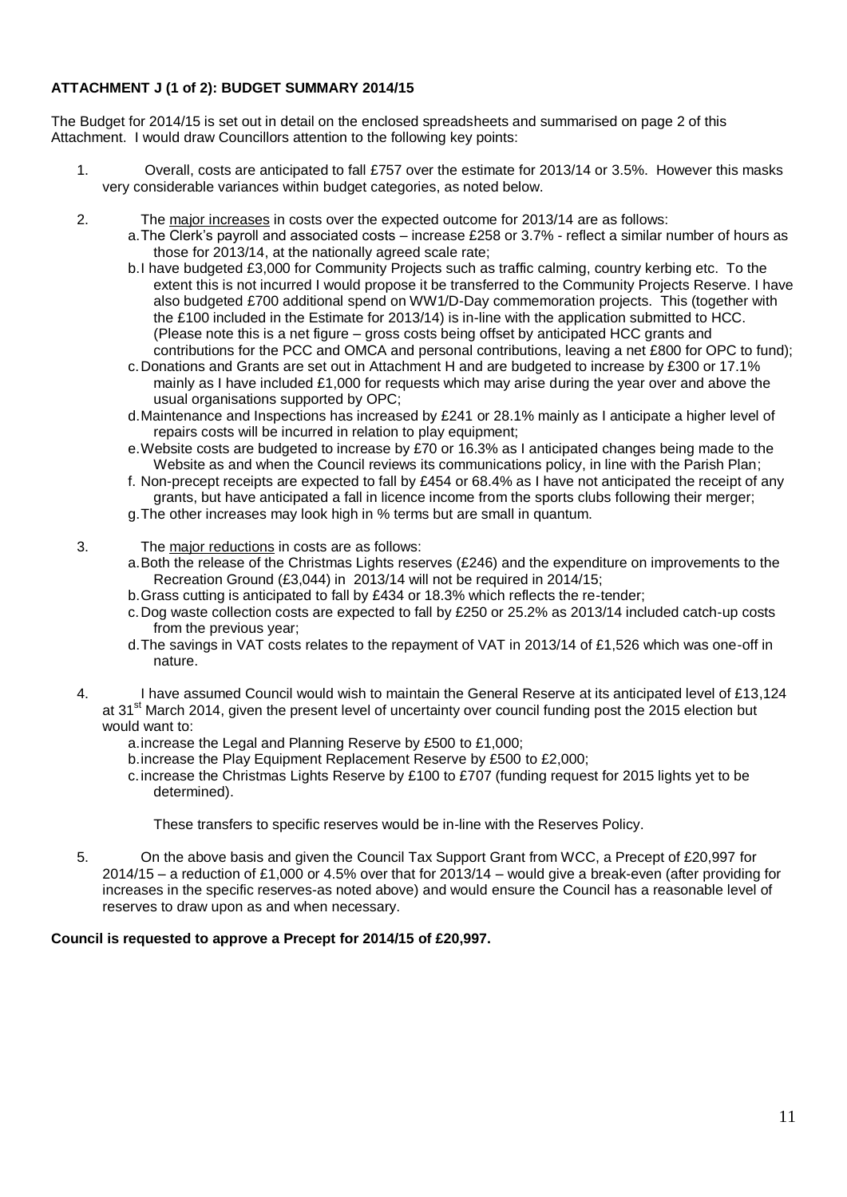# **ATTACHMENT J (1 of 2): BUDGET SUMMARY 2014/15**

The Budget for 2014/15 is set out in detail on the enclosed spreadsheets and summarised on page 2 of this Attachment. I would draw Councillors attention to the following key points:

- 1. Overall, costs are anticipated to fall £757 over the estimate for 2013/14 or 3.5%. However this masks very considerable variances within budget categories, as noted below.
- 2. The major increases in costs over the expected outcome for 2013/14 are as follows:
	- a.The Clerk's payroll and associated costs increase £258 or 3.7% reflect a similar number of hours as those for 2013/14, at the nationally agreed scale rate;
	- b.I have budgeted £3,000 for Community Projects such as traffic calming, country kerbing etc. To the extent this is not incurred I would propose it be transferred to the Community Projects Reserve. I have also budgeted £700 additional spend on WW1/D-Day commemoration projects. This (together with the £100 included in the Estimate for 2013/14) is in-line with the application submitted to HCC. (Please note this is a net figure – gross costs being offset by anticipated HCC grants and contributions for the PCC and OMCA and personal contributions, leaving a net £800 for OPC to fund);
	- c.Donations and Grants are set out in Attachment H and are budgeted to increase by £300 or 17.1% mainly as I have included  $£1,000$  for requests which may arise during the year over and above the usual organisations supported by OPC;
	- d.Maintenance and Inspections has increased by £241 or 28.1% mainly as I anticipate a higher level of repairs costs will be incurred in relation to play equipment;
	- e.Website costs are budgeted to increase by £70 or 16.3% as I anticipated changes being made to the Website as and when the Council reviews its communications policy, in line with the Parish Plan;
	- f. Non-precept receipts are expected to fall by £454 or 68.4% as I have not anticipated the receipt of any grants, but have anticipated a fall in licence income from the sports clubs following their merger;
	- g.The other increases may look high in % terms but are small in quantum.
- 3. The major reductions in costs are as follows:
	- a.Both the release of the Christmas Lights reserves (£246) and the expenditure on improvements to the Recreation Ground (£3,044) in 2013/14 will not be required in 2014/15;
	- b.Grass cutting is anticipated to fall by £434 or 18.3% which reflects the re-tender;
	- c.Dog waste collection costs are expected to fall by £250 or 25.2% as 2013/14 included catch-up costs from the previous year;
	- d.The savings in VAT costs relates to the repayment of VAT in 2013/14 of £1,526 which was one-off in nature.
- 4. I have assumed Council would wish to maintain the General Reserve at its anticipated level of £13,124 at 31<sup>st</sup> March 2014, given the present level of uncertainty over council funding post the 2015 election but would want to:
	- a.increase the Legal and Planning Reserve by £500 to £1,000;
	- b.increase the Play Equipment Replacement Reserve by £500 to £2,000;
	- c.increase the Christmas Lights Reserve by £100 to £707 (funding request for 2015 lights yet to be determined).

These transfers to specific reserves would be in-line with the Reserves Policy.

5. On the above basis and given the Council Tax Support Grant from WCC, a Precept of £20,997 for 2014/15 – a reduction of £1,000 or 4.5% over that for 2013/14 – would give a break-even (after providing for increases in the specific reserves-as noted above) and would ensure the Council has a reasonable level of reserves to draw upon as and when necessary.

#### **Council is requested to approve a Precept for 2014/15 of £20,997.**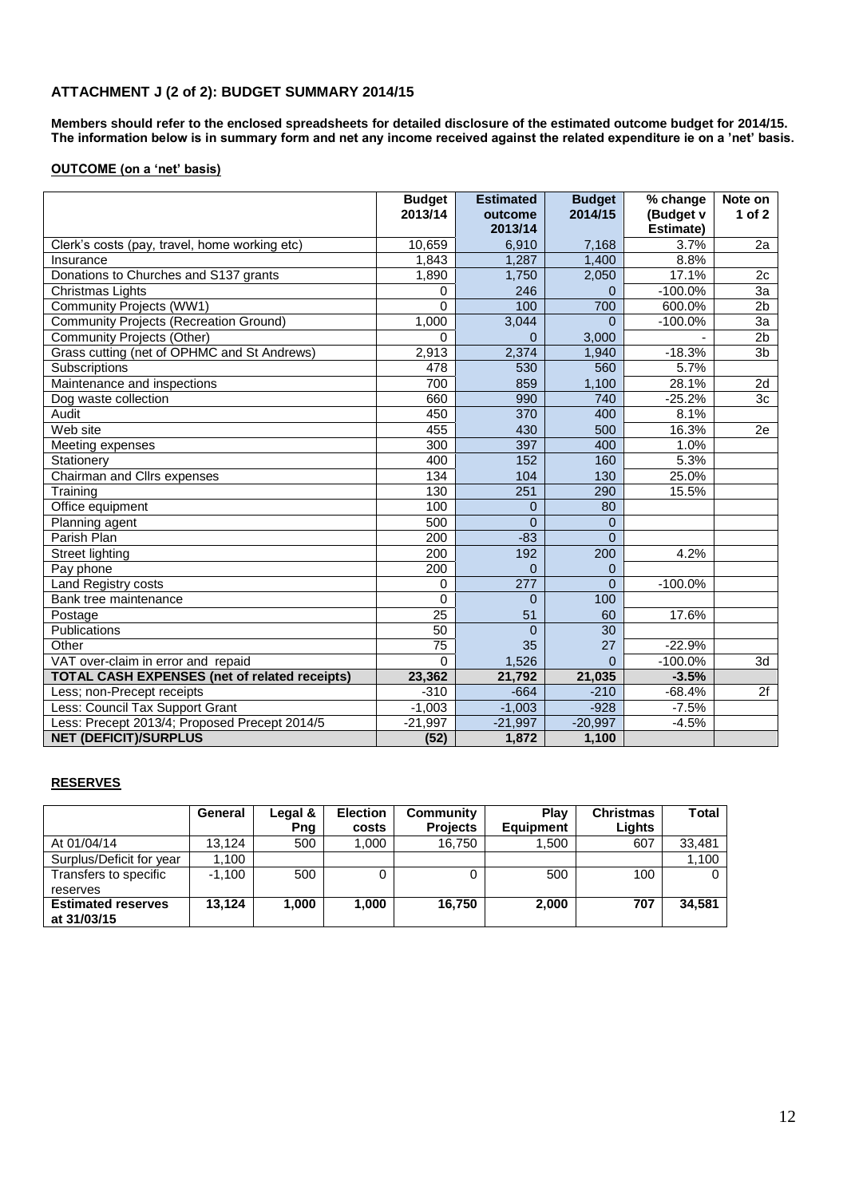## **ATTACHMENT J (2 of 2): BUDGET SUMMARY 2014/15**

**Members should refer to the enclosed spreadsheets for detailed disclosure of the estimated outcome budget for 2014/15. The information below is in summary form and net any income received against the related expenditure ie on a 'net' basis.**

#### **OUTCOME (on a 'net' basis)**

|                                                      | <b>Budget</b><br>2013/14 | <b>Estimated</b><br>outcome<br>2013/14 | <b>Budget</b><br>2014/15 | % change<br>(Budget v<br>Estimate) | Note on<br>1 of $2$ |
|------------------------------------------------------|--------------------------|----------------------------------------|--------------------------|------------------------------------|---------------------|
| Clerk's costs (pay, travel, home working etc)        | 10,659                   | 6,910                                  | 7,168                    | 3.7%                               | 2a                  |
| Insurance                                            | 1,843                    | 1,287                                  | 1.400                    | 8.8%                               |                     |
| Donations to Churches and S137 grants                | 1,890                    | 1,750                                  | 2,050                    | 17.1%                              | 2c                  |
| Christmas Lights                                     | 0                        | 246                                    | $\Omega$                 | $-100.0%$                          | 3a                  |
| Community Projects (WW1)                             | $\mathbf 0$              | 100                                    | 700                      | 600.0%                             | 2 <sub>b</sub>      |
| <b>Community Projects (Recreation Ground)</b>        | 1,000                    | 3,044                                  | $\Omega$                 | $-100.0%$                          | 3a                  |
| Community Projects (Other)                           | $\Omega$                 | $\Omega$                               | 3,000                    |                                    | 2 <sub>b</sub>      |
| Grass cutting (net of OPHMC and St Andrews)          | 2,913                    | 2,374                                  | 1,940                    | $-18.3%$                           | 3b                  |
| Subscriptions                                        | 478                      | 530                                    | 560                      | 5.7%                               |                     |
| Maintenance and inspections                          | 700                      | 859                                    | 1,100                    | 28.1%                              | 2d                  |
| Dog waste collection                                 | 660                      | 990                                    | 740                      | $-25.2%$                           | 3 <sub>c</sub>      |
| Audit                                                | 450                      | 370                                    | 400                      | 8.1%                               |                     |
| Web site                                             | 455                      | 430                                    | 500                      | 16.3%                              | 2e                  |
| Meeting expenses                                     | 300                      | 397                                    | 400                      | 1.0%                               |                     |
| Stationery                                           | 400                      | 152                                    | 160                      | 5.3%                               |                     |
| Chairman and Cllrs expenses                          | 134                      | 104                                    | 130                      | 25.0%                              |                     |
| Training                                             | 130                      | 251                                    | 290                      | 15.5%                              |                     |
| Office equipment                                     | 100                      | $\overline{0}$                         | 80                       |                                    |                     |
| Planning agent                                       | 500                      | $\Omega$                               | $\overline{0}$           |                                    |                     |
| Parish Plan                                          | 200                      | $-83$                                  | $\Omega$                 |                                    |                     |
| Street lighting                                      | 200                      | 192                                    | 200                      | 4.2%                               |                     |
| Pay phone                                            | 200                      | $\Omega$                               | $\mathbf 0$              |                                    |                     |
| Land Registry costs                                  | 0                        | 277                                    | $\Omega$                 | $-100.0%$                          |                     |
| Bank tree maintenance                                | $\mathbf 0$              | $\Omega$                               | 100                      |                                    |                     |
| Postage                                              | 25                       | 51                                     | 60                       | 17.6%                              |                     |
| Publications                                         | 50                       | $\Omega$                               | 30                       |                                    |                     |
| Other                                                | 75                       | 35                                     | 27                       | $-22.9%$                           |                     |
| VAT over-claim in error and repaid                   | $\Omega$                 | 1,526                                  | $\Omega$                 | $-100.0%$                          | 3d                  |
| <b>TOTAL CASH EXPENSES (net of related receipts)</b> | 23,362                   | 21,792                                 | 21,035                   | $-3.5%$                            |                     |
| Less; non-Precept receipts                           | $-310$                   | $-664$                                 | $-210$                   | $-68.4%$                           | 2f                  |
| Less: Council Tax Support Grant                      | $-1,003$                 | $-1,003$                               | $-928$                   | $-7.5%$                            |                     |
| Less: Precept 2013/4; Proposed Precept 2014/5        | $-21,997$                | $-21,997$                              | $-20,997$                | $-4.5%$                            |                     |
| <b>NET (DEFICIT)/SURPLUS</b>                         | (52)                     | 1,872                                  | 1,100                    |                                    |                     |

#### **RESERVES**

|                                          | General  | Legal & | <b>Election</b> | Community       | Plav             | <b>Christmas</b> | Total  |
|------------------------------------------|----------|---------|-----------------|-----------------|------------------|------------------|--------|
|                                          |          | Png     | costs           | <b>Projects</b> | <b>Equipment</b> | Liahts           |        |
| At 01/04/14                              | 13.124   | 500     | 000. ا          | 16,750          | 1.500            | 607              | 33.481 |
| Surplus/Deficit for year                 | 1.100    |         |                 |                 |                  |                  | 1,100  |
| Transfers to specific                    | $-1.100$ | 500     |                 |                 | 500              | 100              |        |
| reserves                                 |          |         |                 |                 |                  |                  |        |
| <b>Estimated reserves</b><br>at 31/03/15 | 13.124   | 1.000   | 1.000           | 16.750          | 2,000            | 707              | 34.581 |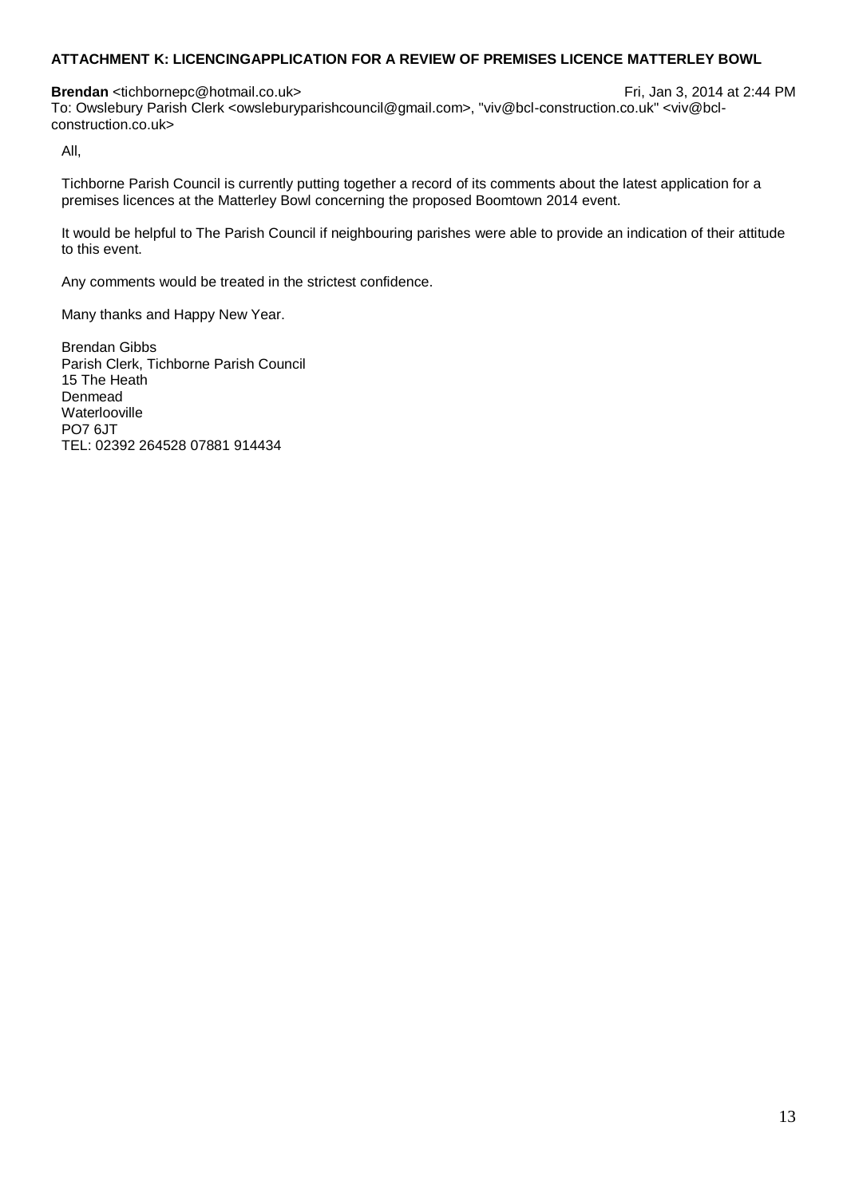## **ATTACHMENT K: LICENCINGAPPLICATION FOR A REVIEW OF PREMISES LICENCE MATTERLEY BOWL**

**Brendan** <tichbornepc@hotmail.co.uk> Fri, Jan 3, 2014 at 2:44 PM To: Owslebury Parish Clerk <owsleburyparishcouncil@gmail.com>, "viv@bcl-construction.co.uk" <viv@bclconstruction.co.uk>

All,

Tichborne Parish Council is currently putting together a record of its comments about the latest application for a premises licences at the Matterley Bowl concerning the proposed Boomtown 2014 event.

It would be helpful to The Parish Council if neighbouring parishes were able to provide an indication of their attitude to this event.

Any comments would be treated in the strictest confidence.

Many thanks and Happy New Year.

Brendan Gibbs Parish Clerk, Tichborne Parish Council 15 The Heath Denmead Waterlooville PO7 6JT TEL: 02392 264528 07881 914434